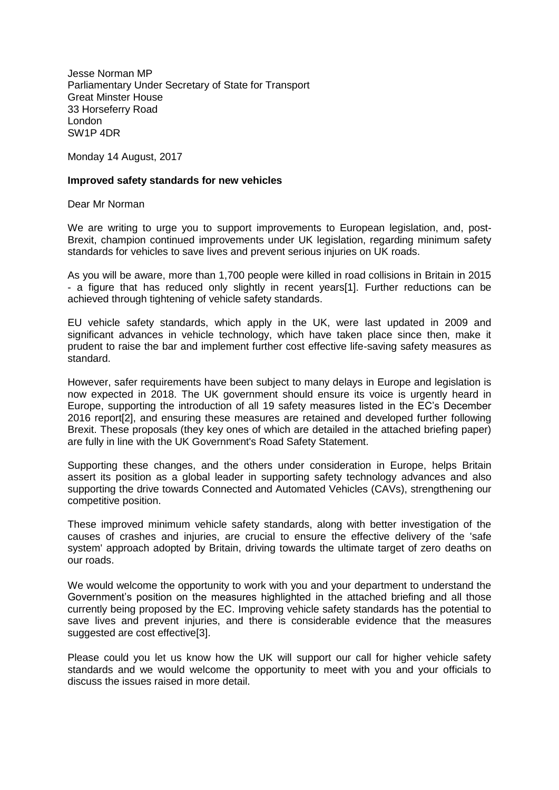Jesse Norman MP Parliamentary Under Secretary of State for Transport Great Minster House 33 Horseferry Road London SW1P 4DR

Monday 14 August, 2017

## **Improved safety standards for new vehicles**

Dear Mr Norman

We are writing to urge you to support improvements to European legislation, and, post-Brexit, champion continued improvements under UK legislation, regarding minimum safety standards for vehicles to save lives and prevent serious injuries on UK roads.

As you will be aware, more than 1,700 people were killed in road collisions in Britain in 2015 - a figure that has reduced only slightly in recent years[1]. Further reductions can be achieved through tightening of vehicle safety standards.

EU vehicle safety standards, which apply in the UK, were last updated in 2009 and significant advances in vehicle technology, which have taken place since then, make it prudent to raise the bar and implement further cost effective life-saving safety measures as standard.

However, safer requirements have been subject to many delays in Europe and legislation is now expected in 2018. The UK government should ensure its voice is urgently heard in Europe, supporting the introduction of all 19 safety measures listed in the EC's December 2016 report[2], and ensuring these measures are retained and developed further following Brexit. These proposals (they key ones of which are detailed in the attached briefing paper) are fully in line with the UK Government's Road Safety Statement.

Supporting these changes, and the others under consideration in Europe, helps Britain assert its position as a global leader in supporting safety technology advances and also supporting the drive towards Connected and Automated Vehicles (CAVs), strengthening our competitive position.

These improved minimum vehicle safety standards, along with better investigation of the causes of crashes and injuries, are crucial to ensure the effective delivery of the 'safe system' approach adopted by Britain, driving towards the ultimate target of zero deaths on our roads.

We would welcome the opportunity to work with you and your department to understand the Government's position on the measures highlighted in the attached briefing and all those currently being proposed by the EC. Improving vehicle safety standards has the potential to save lives and prevent injuries, and there is considerable evidence that the measures suggested are cost effective[3].

Please could you let us know how the UK will support our call for higher vehicle safety standards and we would welcome the opportunity to meet with you and your officials to discuss the issues raised in more detail.